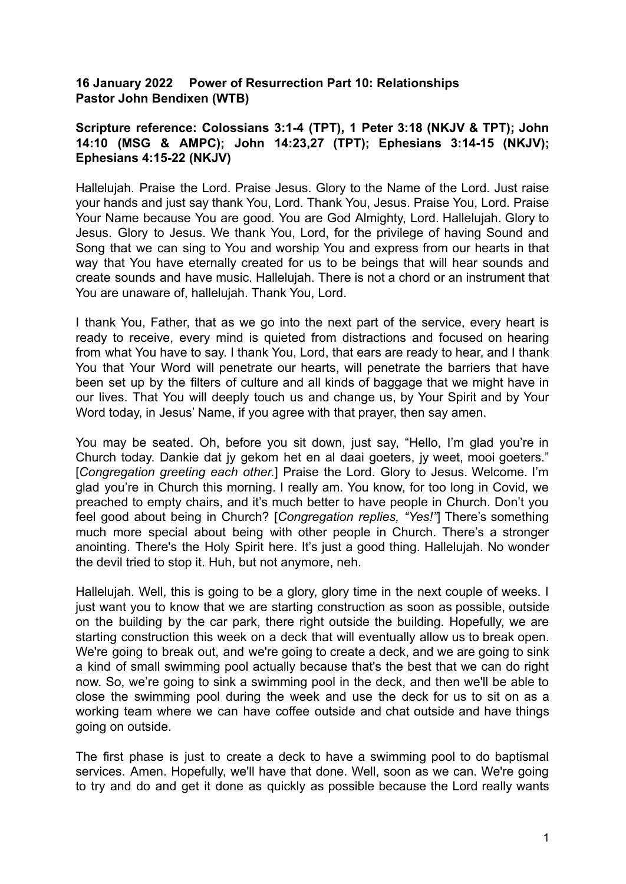## **16 January 2022 Power of Resurrection Part 10: Relationships Pastor John Bendixen (WTB)**

## **Scripture reference: Colossians 3:1-4 (TPT), 1 Peter 3:18 (NKJV & TPT); John 14:10 (MSG & AMPC); John 14:23,27 (TPT); Ephesians 3:14-15 (NKJV); Ephesians 4:15-22 (NKJV)**

Hallelujah. Praise the Lord. Praise Jesus. Glory to the Name of the Lord. Just raise your hands and just say thank You, Lord. Thank You, Jesus. Praise You, Lord. Praise Your Name because You are good. You are God Almighty, Lord. Hallelujah. Glory to Jesus. Glory to Jesus. We thank You, Lord, for the privilege of having Sound and Song that we can sing to You and worship You and express from our hearts in that way that You have eternally created for us to be beings that will hear sounds and create sounds and have music. Hallelujah. There is not a chord or an instrument that You are unaware of, hallelujah. Thank You, Lord.

I thank You, Father, that as we go into the next part of the service, every heart is ready to receive, every mind is quieted from distractions and focused on hearing from what You have to say. I thank You, Lord, that ears are ready to hear, and I thank You that Your Word will penetrate our hearts, will penetrate the barriers that have been set up by the filters of culture and all kinds of baggage that we might have in our lives. That You will deeply touch us and change us, by Your Spirit and by Your Word today, in Jesus' Name, if you agree with that prayer, then say amen.

You may be seated. Oh, before you sit down, just say, "Hello, I'm glad you're in Church today. Dankie dat jy gekom het en al daai goeters, jy weet, mooi goeters." [*Congregation greeting each other.*] Praise the Lord. Glory to Jesus. Welcome. I'm glad you're in Church this morning. I really am. You know, for too long in Covid, we preached to empty chairs, and it's much better to have people in Church. Don't you feel good about being in Church? [*Congregation replies, "Yes!"*] There's something much more special about being with other people in Church. There's a stronger anointing. There's the Holy Spirit here. It's just a good thing. Hallelujah. No wonder the devil tried to stop it. Huh, but not anymore, neh.

Hallelujah. Well, this is going to be a glory, glory time in the next couple of weeks. I just want you to know that we are starting construction as soon as possible, outside on the building by the car park, there right outside the building. Hopefully, we are starting construction this week on a deck that will eventually allow us to break open. We're going to break out, and we're going to create a deck, and we are going to sink a kind of small swimming pool actually because that's the best that we can do right now. So, we're going to sink a swimming pool in the deck, and then we'll be able to close the swimming pool during the week and use the deck for us to sit on as a working team where we can have coffee outside and chat outside and have things going on outside.

The first phase is just to create a deck to have a swimming pool to do baptismal services. Amen. Hopefully, we'll have that done. Well, soon as we can. We're going to try and do and get it done as quickly as possible because the Lord really wants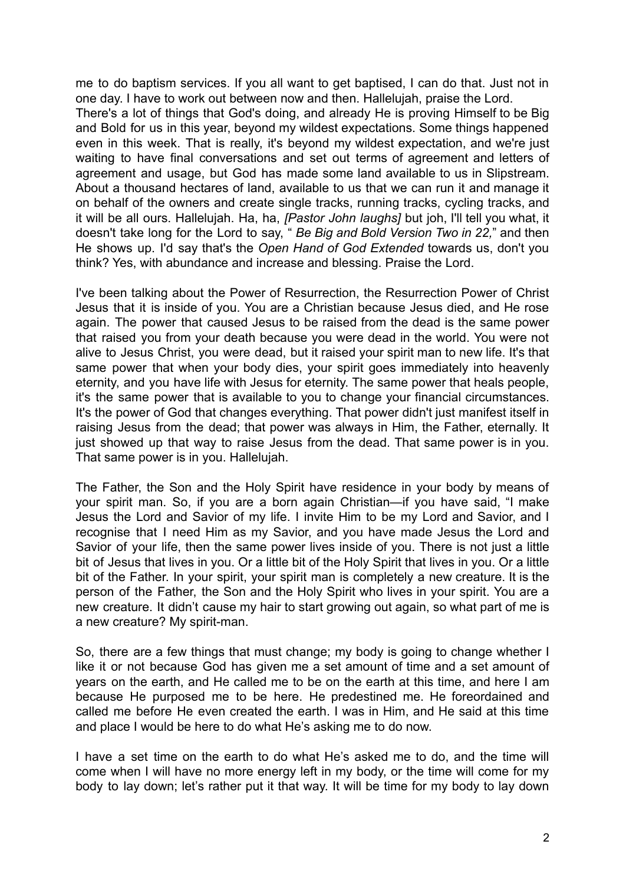me to do baptism services. If you all want to get baptised, I can do that. Just not in one day. I have to work out between now and then. Hallelujah, praise the Lord. There's a lot of things that God's doing, and already He is proving Himself to be Big and Bold for us in this year, beyond my wildest expectations. Some things happened even in this week. That is really, it's beyond my wildest expectation, and we're just waiting to have final conversations and set out terms of agreement and letters of agreement and usage, but God has made some land available to us in Slipstream. About a thousand hectares of land, available to us that we can run it and manage it on behalf of the owners and create single tracks, running tracks, cycling tracks, and it will be all ours. Hallelujah. Ha, ha, *[Pastor John laughs]* but joh, I'll tell you what, it doesn't take long for the Lord to say, " *Be Big and Bold Version Two in 22,*" and then He shows up. I'd say that's the *Open Hand of God Extended* towards us, don't you think? Yes, with abundance and increase and blessing. Praise the Lord.

I've been talking about the Power of Resurrection, the Resurrection Power of Christ Jesus that it is inside of you. You are a Christian because Jesus died, and He rose again. The power that caused Jesus to be raised from the dead is the same power that raised you from your death because you were dead in the world. You were not alive to Jesus Christ, you were dead, but it raised your spirit man to new life. It's that same power that when your body dies, your spirit goes immediately into heavenly eternity, and you have life with Jesus for eternity. The same power that heals people, it's the same power that is available to you to change your financial circumstances. It's the power of God that changes everything. That power didn't just manifest itself in raising Jesus from the dead; that power was always in Him, the Father, eternally. It just showed up that way to raise Jesus from the dead. That same power is in you. That same power is in you. Hallelujah.

The Father, the Son and the Holy Spirit have residence in your body by means of your spirit man. So, if you are a born again Christian—if you have said, "I make Jesus the Lord and Savior of my life. I invite Him to be my Lord and Savior, and I recognise that I need Him as my Savior, and you have made Jesus the Lord and Savior of your life, then the same power lives inside of you. There is not just a little bit of Jesus that lives in you. Or a little bit of the Holy Spirit that lives in you. Or a little bit of the Father. In your spirit, your spirit man is completely a new creature. It is the person of the Father, the Son and the Holy Spirit who lives in your spirit. You are a new creature. It didn't cause my hair to start growing out again, so what part of me is a new creature? My spirit-man.

So, there are a few things that must change; my body is going to change whether I like it or not because God has given me a set amount of time and a set amount of years on the earth, and He called me to be on the earth at this time, and here I am because He purposed me to be here. He predestined me. He foreordained and called me before He even created the earth. I was in Him, and He said at this time and place I would be here to do what He's asking me to do now.

I have a set time on the earth to do what He's asked me to do, and the time will come when I will have no more energy left in my body, or the time will come for my body to lay down; let's rather put it that way. It will be time for my body to lay down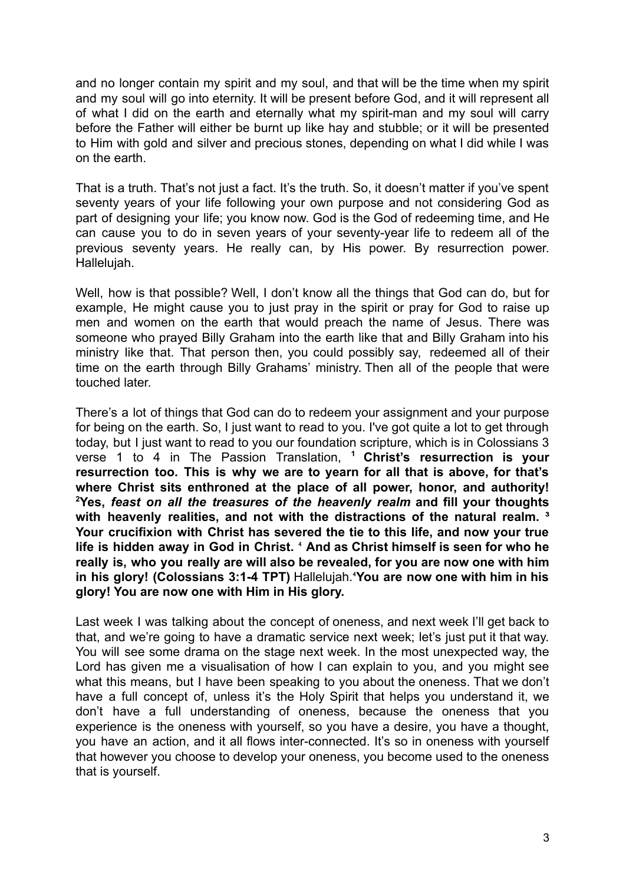and no longer contain my spirit and my soul, and that will be the time when my spirit and my soul will go into eternity. It will be present before God, and it will represent all of what I did on the earth and eternally what my spirit-man and my soul will carry before the Father will either be burnt up like hay and stubble; or it will be presented to Him with gold and silver and precious stones, depending on what I did while I was on the earth.

That is a truth. That's not just a fact. It's the truth. So, it doesn't matter if you've spent seventy years of your life following your own purpose and not considering God as part of designing your life; you know now. God is the God of redeeming time, and He can cause you to do in seven years of your seventy-year life to redeem all of the previous seventy years. He really can, by His power. By resurrection power. Hallelujah.

Well, how is that possible? Well, I don't know all the things that God can do, but for example, He might cause you to just pray in the spirit or pray for God to raise up men and women on the earth that would preach the name of Jesus. There was someone who prayed Billy Graham into the earth like that and Billy Graham into his ministry like that. That person then, you could possibly say, redeemed all of their time on the earth through Billy Grahams' ministry. Then all of the people that were touched later.

There's a lot of things that God can do to redeem your assignment and your purpose for being on the earth. So, I just want to read to you. I've got quite a lot to get through today, but I just want to read to you our foundation scripture, which is in Colossians 3 verse 1 to 4 in The Passion Translation, **<sup>1</sup> Christ's resurrection is your resurrection too. This is why we are to yearn for all that is above, for that's where Christ sits enthroned at the place of all power, honor, and authority! <sup>2</sup>Yes,** *feast on all the treasures of the heavenly realm* **and fill your thoughts with heavenly realities, and not with the distractions of the natural realm. ³ Your crucifixion with Christ has severed the tie to this life, and now your true life is hidden away in God in Christ.** ⁴ **And as Christ himself is seen for who he really is, who you really are will also be revealed, for you are now one with him in his glory! (Colossians 3:1-4 TPT)** Hallelujah.⁴**You are now one with him in his glory! You are now one with Him in His glory.**

Last week I was talking about the concept of oneness, and next week I'll get back to that, and we're going to have a dramatic service next week; let's just put it that way. You will see some drama on the stage next week. In the most unexpected way, the Lord has given me a visualisation of how I can explain to you, and you might see what this means, but I have been speaking to you about the oneness. That we don't have a full concept of, unless it's the Holy Spirit that helps you understand it, we don't have a full understanding of oneness, because the oneness that you experience is the oneness with yourself, so you have a desire, you have a thought, you have an action, and it all flows inter-connected. It's so in oneness with yourself that however you choose to develop your oneness, you become used to the oneness that is yourself.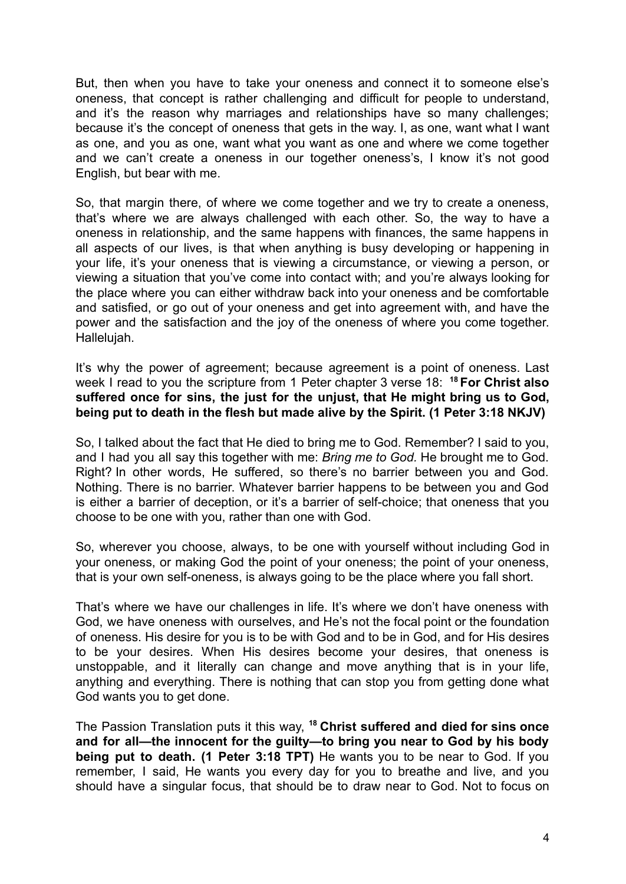But, then when you have to take your oneness and connect it to someone else's oneness, that concept is rather challenging and difficult for people to understand, and it's the reason why marriages and relationships have so many challenges; because it's the concept of oneness that gets in the way. I, as one, want what I want as one, and you as one, want what you want as one and where we come together and we can't create a oneness in our together oneness's, I know it's not good English, but bear with me.

So, that margin there, of where we come together and we try to create a oneness, that's where we are always challenged with each other. So, the way to have a oneness in relationship, and the same happens with finances, the same happens in all aspects of our lives, is that when anything is busy developing or happening in your life, it's your oneness that is viewing a circumstance, or viewing a person, or viewing a situation that you've come into contact with; and you're always looking for the place where you can either withdraw back into your oneness and be comfortable and satisfied, or go out of your oneness and get into agreement with, and have the power and the satisfaction and the joy of the oneness of where you come together. Hallelujah.

It's why the power of agreement; because agreement is a point of oneness. Last week I read to you the scripture from 1 Peter chapter 3 verse 18: **<sup>18</sup> For Christ also suffered once for sins, the just for the unjust, that He might bring us to God, being put to death in the flesh but made alive by the Spirit. (1 Peter 3:18 NKJV)**

So, I talked about the fact that He died to bring me to God. Remember? I said to you, and I had you all say this together with me: *Bring me to God.* He brought me to God. Right? In other words, He suffered, so there's no barrier between you and God. Nothing. There is no barrier. Whatever barrier happens to be between you and God is either a barrier of deception, or it's a barrier of self-choice; that oneness that you choose to be one with you, rather than one with God.

So, wherever you choose, always, to be one with yourself without including God in your oneness, or making God the point of your oneness; the point of your oneness, that is your own self-oneness, is always going to be the place where you fall short.

That's where we have our challenges in life. It's where we don't have oneness with God, we have oneness with ourselves, and He's not the focal point or the foundation of oneness. His desire for you is to be with God and to be in God, and for His desires to be your desires. When His desires become your desires, that oneness is unstoppable, and it literally can change and move anything that is in your life, anything and everything. There is nothing that can stop you from getting done what God wants you to get done.

The Passion Translation puts it this way, **<sup>18</sup> Christ suffered and died for sins once and for all—the innocent for the guilty—to bring you near to God by his body being put to death. (1 Peter 3:18 TPT)** He wants you to be near to God. If you remember, I said, He wants you every day for you to breathe and live, and you should have a singular focus, that should be to draw near to God. Not to focus on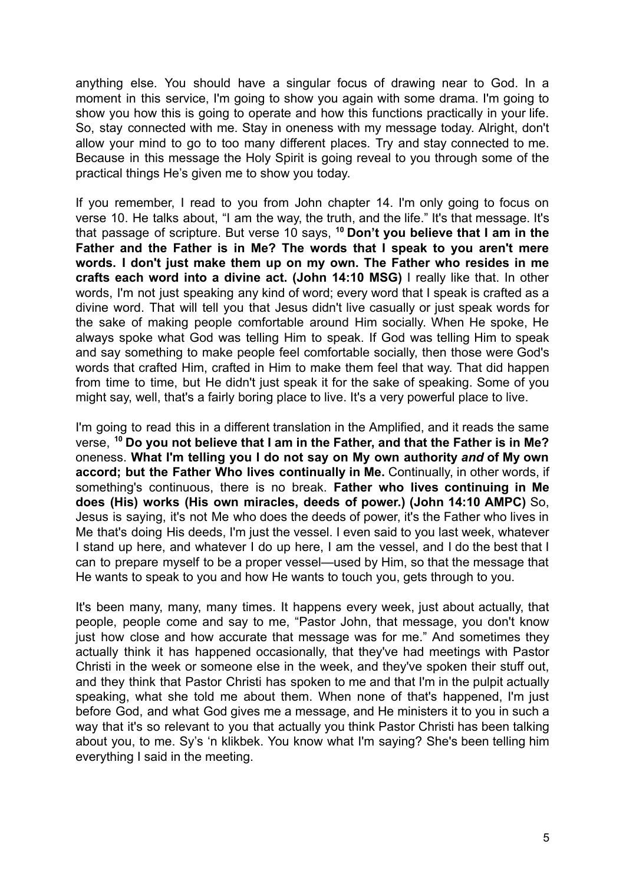anything else. You should have a singular focus of drawing near to God. In a moment in this service, I'm going to show you again with some drama. I'm going to show you how this is going to operate and how this functions practically in your life. So, stay connected with me. Stay in oneness with my message today. Alright, don't allow your mind to go to too many different places. Try and stay connected to me. Because in this message the Holy Spirit is going reveal to you through some of the practical things He's given me to show you today.

If you remember, I read to you from John chapter 14. I'm only going to focus on verse 10. He talks about, "I am the way, the truth, and the life." It's that message. It's that passage of scripture. But verse 10 says, **<sup>10</sup> Don't you believe that I am in the Father and the Father is in Me? The words that I speak to you aren't mere words. I don't just make them up on my own. The Father who resides in me crafts each word into a divine act. (John 14:10 MSG)** I really like that. In other words, I'm not just speaking any kind of word; every word that I speak is crafted as a divine word. That will tell you that Jesus didn't live casually or just speak words for the sake of making people comfortable around Him socially. When He spoke, He always spoke what God was telling Him to speak. If God was telling Him to speak and say something to make people feel comfortable socially, then those were God's words that crafted Him, crafted in Him to make them feel that way. That did happen from time to time, but He didn't just speak it for the sake of speaking. Some of you might say, well, that's a fairly boring place to live. It's a very powerful place to live.

I'm going to read this in a different translation in the Amplified, and it reads the same verse, **<sup>10</sup> Do you not believe that I am in the Father, and that the Father is in Me?** oneness. **What I'm telling you I do not say on My own authority** *and* **of My own accord; but the Father Who lives continually in Me.** Continually, in other words, if something's continuous, there is no break. **Father who lives continuing in Me does (His) works (His own miracles, deeds of power.) (John 14:10 AMPC)** So, Jesus is saying, it's not Me who does the deeds of power, it's the Father who lives in Me that's doing His deeds, I'm just the vessel. I even said to you last week, whatever I stand up here, and whatever I do up here, I am the vessel, and I do the best that I can to prepare myself to be a proper vessel—used by Him, so that the message that He wants to speak to you and how He wants to touch you, gets through to you.

It's been many, many, many times. It happens every week, just about actually, that people, people come and say to me, "Pastor John, that message, you don't know just how close and how accurate that message was for me." And sometimes they actually think it has happened occasionally, that they've had meetings with Pastor Christi in the week or someone else in the week, and they've spoken their stuff out, and they think that Pastor Christi has spoken to me and that I'm in the pulpit actually speaking, what she told me about them. When none of that's happened, I'm just before God, and what God gives me a message, and He ministers it to you in such a way that it's so relevant to you that actually you think Pastor Christi has been talking about you, to me. Sy's 'n klikbek. You know what I'm saying? She's been telling him everything I said in the meeting.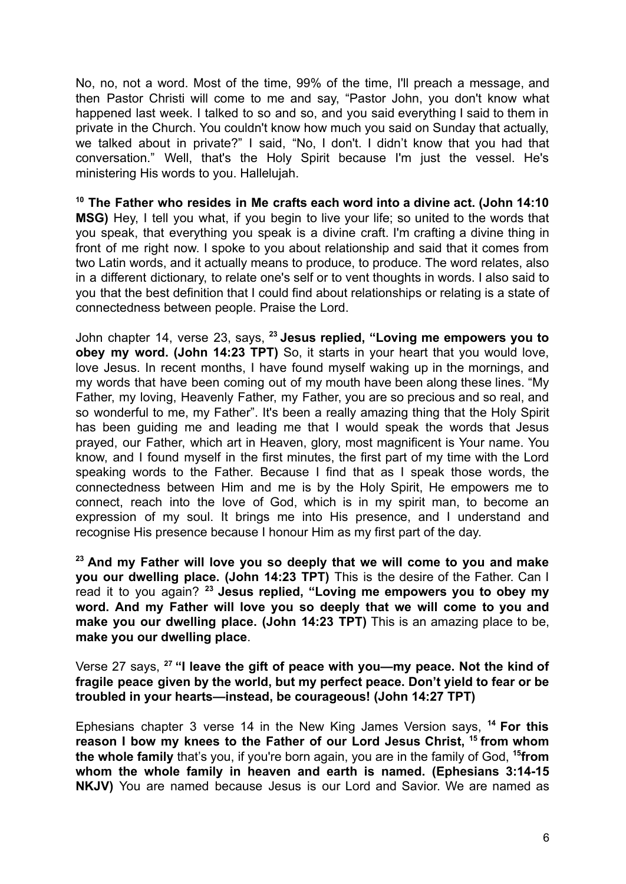No, no, not a word. Most of the time, 99% of the time, I'll preach a message, and then Pastor Christi will come to me and say, "Pastor John, you don't know what happened last week. I talked to so and so, and you said everything I said to them in private in the Church. You couldn't know how much you said on Sunday that actually, we talked about in private?" I said, "No, I don't. I didn't know that you had that conversation." Well, that's the Holy Spirit because I'm just the vessel. He's ministering His words to you. Hallelujah.

**<sup>10</sup> The Father who resides in Me crafts each word into a divine act. (John 14:10 MSG)** Hey, I tell you what, if you begin to live your life; so united to the words that you speak, that everything you speak is a divine craft. I'm crafting a divine thing in front of me right now. I spoke to you about relationship and said that it comes from two Latin words, and it actually means to produce, to produce. The word relates, also in a different dictionary, to relate one's self or to vent thoughts in words. I also said to you that the best definition that I could find about relationships or relating is a state of connectedness between people. Praise the Lord.

John chapter 14, verse 23, says, **<sup>23</sup> Jesus replied, "Loving me empowers you to obey my word. (John 14:23 TPT)** So, it starts in your heart that you would love, love Jesus. In recent months, I have found myself waking up in the mornings, and my words that have been coming out of my mouth have been along these lines. "My Father, my loving, Heavenly Father, my Father, you are so precious and so real, and so wonderful to me, my Father". It's been a really amazing thing that the Holy Spirit has been guiding me and leading me that I would speak the words that Jesus prayed, our Father, which art in Heaven, glory, most magnificent is Your name. You know, and I found myself in the first minutes, the first part of my time with the Lord speaking words to the Father. Because I find that as I speak those words, the connectedness between Him and me is by the Holy Spirit, He empowers me to connect, reach into the love of God, which is in my spirit man, to become an expression of my soul. It brings me into His presence, and I understand and recognise His presence because I honour Him as my first part of the day.

**<sup>23</sup> And my Father will love you so deeply that we will come to you and make you our dwelling place. (John 14:23 TPT)** This is the desire of the Father. Can I read it to you again? **<sup>23</sup> Jesus replied, "Loving me empowers you to obey my word. And my Father will love you so deeply that we will come to you and make you our dwelling place. (John 14:23 TPT)** This is an amazing place to be, **make you our dwelling place**.

Verse 27 says, **<sup>27</sup> "I leave the gift of peace with you—my peace. Not the kind of fragile peace given by the world, but my perfect peace. Don't yield to fear or be troubled in your hearts—instead, be courageous! (John 14:27 TPT)**

Ephesians chapter 3 verse 14 in the New King James Version says, **<sup>14</sup> For this reason I bow my knees to the Father of our Lord Jesus Christ, <sup>15</sup> from whom the whole family** that's you, if you're born again, you are in the family of God, **<sup>15</sup> from whom the whole family in heaven and earth is named. (Ephesians 3:14-15 NKJV)** You are named because Jesus is our Lord and Savior. We are named as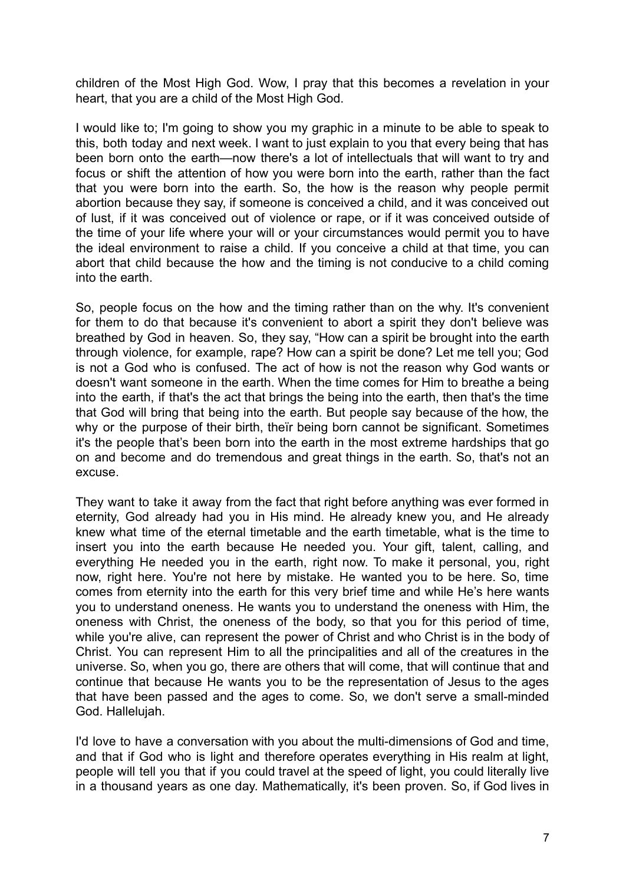children of the Most High God. Wow, I pray that this becomes a revelation in your heart, that you are a child of the Most High God.

I would like to; I'm going to show you my graphic in a minute to be able to speak to this, both today and next week. I want to just explain to you that every being that has been born onto the earth—now there's a lot of intellectuals that will want to try and focus or shift the attention of how you were born into the earth, rather than the fact that you were born into the earth. So, the how is the reason why people permit abortion because they say, if someone is conceived a child, and it was conceived out of lust, if it was conceived out of violence or rape, or if it was conceived outside of the time of your life where your will or your circumstances would permit you to have the ideal environment to raise a child. If you conceive a child at that time, you can abort that child because the how and the timing is not conducive to a child coming into the earth.

So, people focus on the how and the timing rather than on the why. It's convenient for them to do that because it's convenient to abort a spirit they don't believe was breathed by God in heaven. So, they say, "How can a spirit be brought into the earth through violence, for example, rape? How can a spirit be done? Let me tell you; God is not a God who is confused. The act of how is not the reason why God wants or doesn't want someone in the earth. When the time comes for Him to breathe a being into the earth, if that's the act that brings the being into the earth, then that's the time that God will bring that being into the earth. But people say because of the how, the why or the purpose of their birth, theïr being born cannot be significant. Sometimes it's the people that's been born into the earth in the most extreme hardships that go on and become and do tremendous and great things in the earth. So, that's not an excuse.

They want to take it away from the fact that right before anything was ever formed in eternity, God already had you in His mind. He already knew you, and He already knew what time of the eternal timetable and the earth timetable, what is the time to insert you into the earth because He needed you. Your gift, talent, calling, and everything He needed you in the earth, right now. To make it personal, you, right now, right here. You're not here by mistake. He wanted you to be here. So, time comes from eternity into the earth for this very brief time and while He's here wants you to understand oneness. He wants you to understand the oneness with Him, the oneness with Christ, the oneness of the body, so that you for this period of time, while you're alive, can represent the power of Christ and who Christ is in the body of Christ. You can represent Him to all the principalities and all of the creatures in the universe. So, when you go, there are others that will come, that will continue that and continue that because He wants you to be the representation of Jesus to the ages that have been passed and the ages to come. So, we don't serve a small-minded God. Hallelujah.

I'd love to have a conversation with you about the multi-dimensions of God and time, and that if God who is light and therefore operates everything in His realm at light, people will tell you that if you could travel at the speed of light, you could literally live in a thousand years as one day. Mathematically, it's been proven. So, if God lives in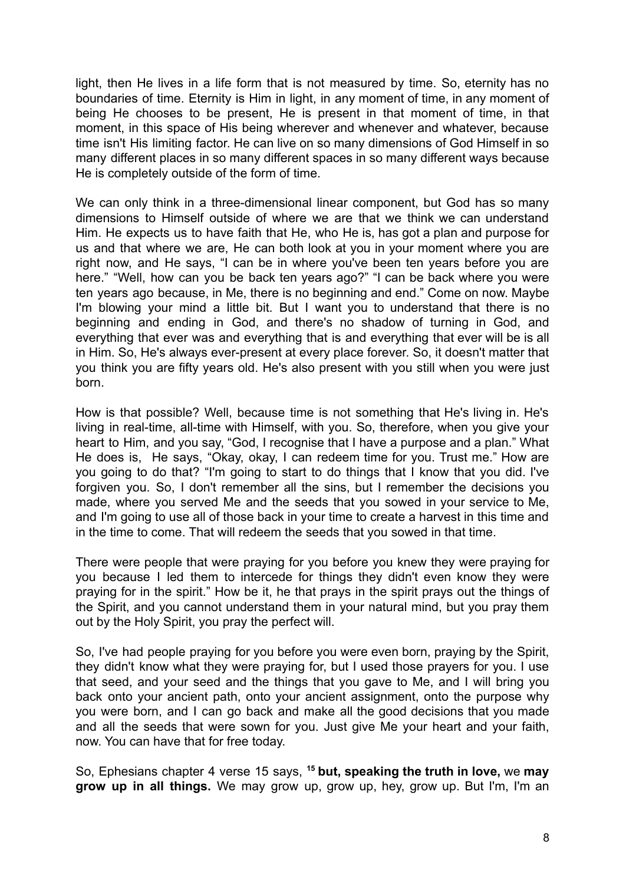light, then He lives in a life form that is not measured by time. So, eternity has no boundaries of time. Eternity is Him in light, in any moment of time, in any moment of being He chooses to be present, He is present in that moment of time, in that moment, in this space of His being wherever and whenever and whatever, because time isn't His limiting factor. He can live on so many dimensions of God Himself in so many different places in so many different spaces in so many different ways because He is completely outside of the form of time.

We can only think in a three-dimensional linear component, but God has so many dimensions to Himself outside of where we are that we think we can understand Him. He expects us to have faith that He, who He is, has got a plan and purpose for us and that where we are, He can both look at you in your moment where you are right now, and He says, "I can be in where you've been ten years before you are here." "Well, how can you be back ten years ago?" "I can be back where you were ten years ago because, in Me, there is no beginning and end." Come on now. Maybe I'm blowing your mind a little bit. But I want you to understand that there is no beginning and ending in God, and there's no shadow of turning in God, and everything that ever was and everything that is and everything that ever will be is all in Him. So, He's always ever-present at every place forever. So, it doesn't matter that you think you are fifty years old. He's also present with you still when you were just born.

How is that possible? Well, because time is not something that He's living in. He's living in real-time, all-time with Himself, with you. So, therefore, when you give your heart to Him, and you say, "God, I recognise that I have a purpose and a plan." What He does is, He says, "Okay, okay, I can redeem time for you. Trust me." How are you going to do that? "I'm going to start to do things that I know that you did. I've forgiven you. So, I don't remember all the sins, but I remember the decisions you made, where you served Me and the seeds that you sowed in your service to Me, and I'm going to use all of those back in your time to create a harvest in this time and in the time to come. That will redeem the seeds that you sowed in that time.

There were people that were praying for you before you knew they were praying for you because I led them to intercede for things they didn't even know they were praying for in the spirit." How be it, he that prays in the spirit prays out the things of the Spirit, and you cannot understand them in your natural mind, but you pray them out by the Holy Spirit, you pray the perfect will.

So, I've had people praying for you before you were even born, praying by the Spirit, they didn't know what they were praying for, but I used those prayers for you. I use that seed, and your seed and the things that you gave to Me, and I will bring you back onto your ancient path, onto your ancient assignment, onto the purpose why you were born, and I can go back and make all the good decisions that you made and all the seeds that were sown for you. Just give Me your heart and your faith, now. You can have that for free today.

So, Ephesians chapter 4 verse 15 says, **<sup>15</sup> but, speaking the truth in love,** we **may grow up in all things.** We may grow up, grow up, hey, grow up. But I'm, I'm an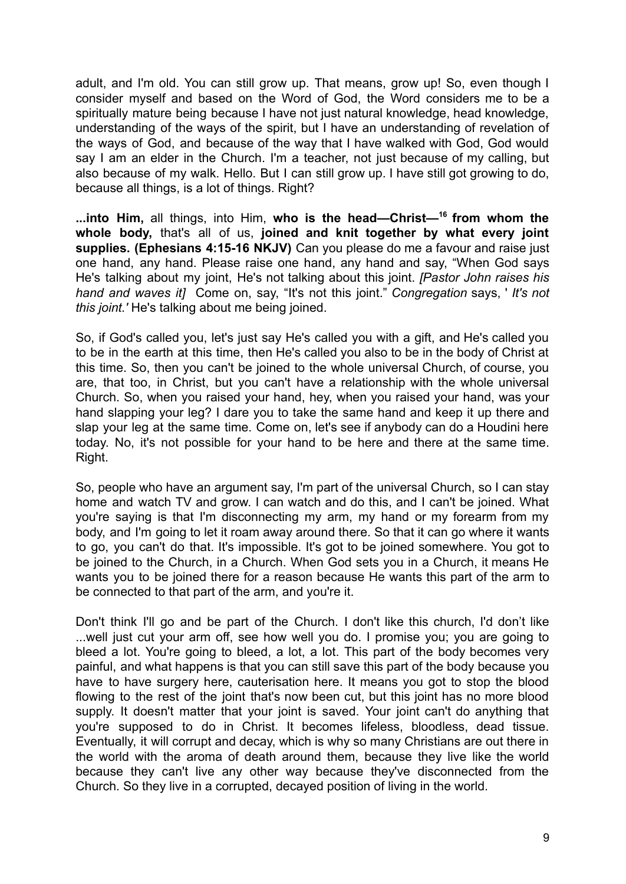adult, and I'm old. You can still grow up. That means, grow up! So, even though I consider myself and based on the Word of God, the Word considers me to be a spiritually mature being because I have not just natural knowledge, head knowledge, understanding of the ways of the spirit, but I have an understanding of revelation of the ways of God, and because of the way that I have walked with God, God would say I am an elder in the Church. I'm a teacher, not just because of my calling, but also because of my walk. Hello. But I can still grow up. I have still got growing to do, because all things, is a lot of things. Right?

**...into Him,** all things, into Him, **who is the head—Christ—<sup>16</sup> from whom the whole body,** that's all of us, **joined and knit together by what every joint supplies. (Ephesians 4:15-16 NKJV)** Can you please do me a favour and raise just one hand, any hand. Please raise one hand, any hand and say, "When God says He's talking about my joint, He's not talking about this joint. *[Pastor John raises his hand and waves it]* Come on, say, "It's not this joint." *Congregation* says, ' *It's not this joint.'* He's talking about me being joined.

So, if God's called you, let's just say He's called you with a gift, and He's called you to be in the earth at this time, then He's called you also to be in the body of Christ at this time. So, then you can't be joined to the whole universal Church, of course, you are, that too, in Christ, but you can't have a relationship with the whole universal Church. So, when you raised your hand, hey, when you raised your hand, was your hand slapping your leg? I dare you to take the same hand and keep it up there and slap your leg at the same time. Come on, let's see if anybody can do a Houdini here today. No, it's not possible for your hand to be here and there at the same time. Right.

So, people who have an argument say, I'm part of the universal Church, so I can stay home and watch TV and grow. I can watch and do this, and I can't be joined. What you're saying is that I'm disconnecting my arm, my hand or my forearm from my body, and I'm going to let it roam away around there. So that it can go where it wants to go, you can't do that. It's impossible. It's got to be joined somewhere. You got to be joined to the Church, in a Church. When God sets you in a Church, it means He wants you to be joined there for a reason because He wants this part of the arm to be connected to that part of the arm, and you're it.

Don't think I'll go and be part of the Church. I don't like this church, I'd don't like ...well just cut your arm off, see how well you do. I promise you; you are going to bleed a lot. You're going to bleed, a lot, a lot. This part of the body becomes very painful, and what happens is that you can still save this part of the body because you have to have surgery here, cauterisation here. It means you got to stop the blood flowing to the rest of the joint that's now been cut, but this joint has no more blood supply. It doesn't matter that your joint is saved. Your joint can't do anything that you're supposed to do in Christ. It becomes lifeless, bloodless, dead tissue. Eventually, it will corrupt and decay, which is why so many Christians are out there in the world with the aroma of death around them, because they live like the world because they can't live any other way because they've disconnected from the Church. So they live in a corrupted, decayed position of living in the world.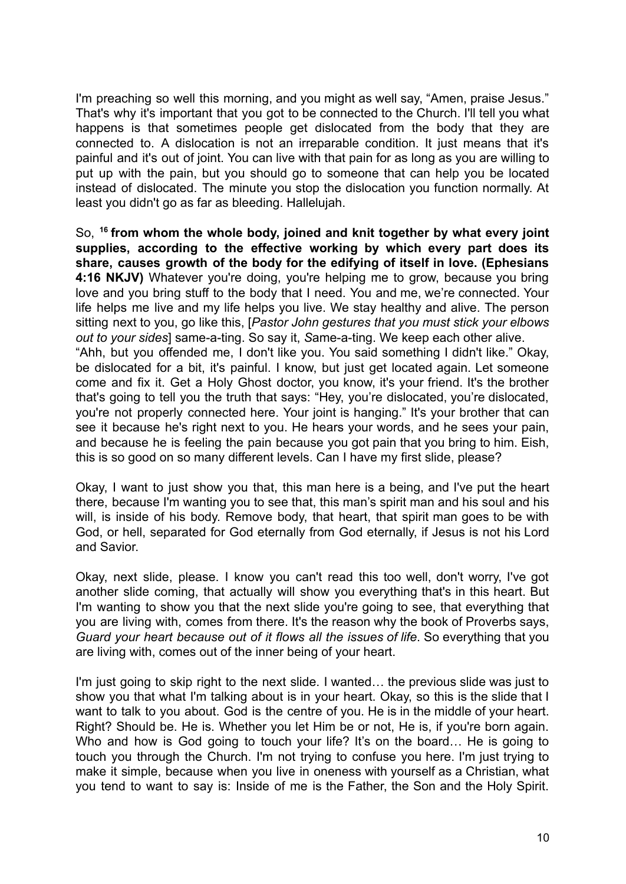I'm preaching so well this morning, and you might as well say, "Amen, praise Jesus." That's why it's important that you got to be connected to the Church. I'll tell you what happens is that sometimes people get dislocated from the body that they are connected to. A dislocation is not an irreparable condition. It just means that it's painful and it's out of joint. You can live with that pain for as long as you are willing to put up with the pain, but you should go to someone that can help you be located instead of dislocated. The minute you stop the dislocation you function normally. At least you didn't go as far as bleeding. Hallelujah.

So, **<sup>16</sup> from whom the whole body, joined and knit together by what every joint supplies, according to the effective working by which every part does its share, causes growth of the body for the edifying of itself in love. (Ephesians 4:16 NKJV)** Whatever you're doing, you're helping me to grow, because you bring love and you bring stuff to the body that I need. You and me, we're connected. Your life helps me live and my life helps you live. We stay healthy and alive. The person sitting next to you, go like this, [*Pastor John gestures that you must stick your elbows out to your sides*] same-a-ting. So say it, *S*ame-a-ting. We keep each other alive. "Ahh, but you offended me, I don't like you. You said something I didn't like." Okay, be dislocated for a bit, it's painful. I know, but just get located again. Let someone come and fix it. Get a Holy Ghost doctor, you know, it's your friend. It's the brother that's going to tell you the truth that says: "Hey, you're dislocated, you're dislocated, you're not properly connected here. Your joint is hanging." It's your brother that can see it because he's right next to you. He hears your words, and he sees your pain, and because he is feeling the pain because you got pain that you bring to him. Eish, this is so good on so many different levels. Can I have my first slide, please?

Okay, I want to just show you that, this man here is a being, and I've put the heart there, because I'm wanting you to see that, this man's spirit man and his soul and his will, is inside of his body. Remove body, that heart, that spirit man goes to be with God, or hell, separated for God eternally from God eternally, if Jesus is not his Lord and Savior.

Okay, next slide, please. I know you can't read this too well, don't worry, I've got another slide coming, that actually will show you everything that's in this heart. But I'm wanting to show you that the next slide you're going to see, that everything that you are living with, comes from there. It's the reason why the book of Proverbs says, *Guard your heart because out of it flows all the issues of life*. So everything that you are living with, comes out of the inner being of your heart.

I'm just going to skip right to the next slide. I wanted… the previous slide was just to show you that what I'm talking about is in your heart. Okay, so this is the slide that I want to talk to you about. God is the centre of you. He is in the middle of your heart. Right? Should be. He is. Whether you let Him be or not, He is, if you're born again. Who and how is God going to touch your life? It's on the board... He is going to touch you through the Church. I'm not trying to confuse you here. I'm just trying to make it simple, because when you live in oneness with yourself as a Christian, what you tend to want to say is: Inside of me is the Father, the Son and the Holy Spirit.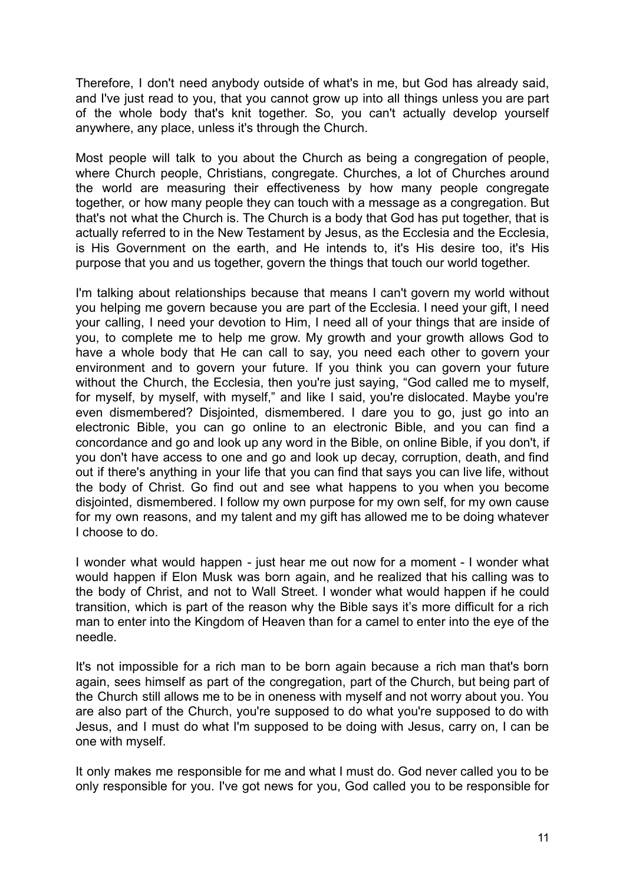Therefore, I don't need anybody outside of what's in me, but God has already said, and I've just read to you, that you cannot grow up into all things unless you are part of the whole body that's knit together. So, you can't actually develop yourself anywhere, any place, unless it's through the Church.

Most people will talk to you about the Church as being a congregation of people, where Church people, Christians, congregate, Churches, a lot of Churches around the world are measuring their effectiveness by how many people congregate together, or how many people they can touch with a message as a congregation. But that's not what the Church is. The Church is a body that God has put together, that is actually referred to in the New Testament by Jesus, as the Ecclesia and the Ecclesia, is His Government on the earth, and He intends to, it's His desire too, it's His purpose that you and us together, govern the things that touch our world together.

I'm talking about relationships because that means I can't govern my world without you helping me govern because you are part of the Ecclesia. I need your gift, I need your calling, I need your devotion to Him, I need all of your things that are inside of you, to complete me to help me grow. My growth and your growth allows God to have a whole body that He can call to say, you need each other to govern your environment and to govern your future. If you think you can govern your future without the Church, the Ecclesia, then you're just saying, "God called me to myself, for myself, by myself, with myself," and like I said, you're dislocated. Maybe you're even dismembered? Disjointed, dismembered. I dare you to go, just go into an electronic Bible, you can go online to an electronic Bible, and you can find a concordance and go and look up any word in the Bible, on online Bible, if you don't, if you don't have access to one and go and look up decay, corruption, death, and find out if there's anything in your life that you can find that says you can live life, without the body of Christ. Go find out and see what happens to you when you become disjointed, dismembered. I follow my own purpose for my own self, for my own cause for my own reasons, and my talent and my gift has allowed me to be doing whatever I choose to do.

I wonder what would happen - just hear me out now for a moment - I wonder what would happen if Elon Musk was born again, and he realized that his calling was to the body of Christ, and not to Wall Street. I wonder what would happen if he could transition, which is part of the reason why the Bible says it's more difficult for a rich man to enter into the Kingdom of Heaven than for a camel to enter into the eye of the needle.

It's not impossible for a rich man to be born again because a rich man that's born again, sees himself as part of the congregation, part of the Church, but being part of the Church still allows me to be in oneness with myself and not worry about you. You are also part of the Church, you're supposed to do what you're supposed to do with Jesus, and I must do what I'm supposed to be doing with Jesus, carry on, I can be one with myself.

It only makes me responsible for me and what I must do. God never called you to be only responsible for you. I've got news for you, God called you to be responsible for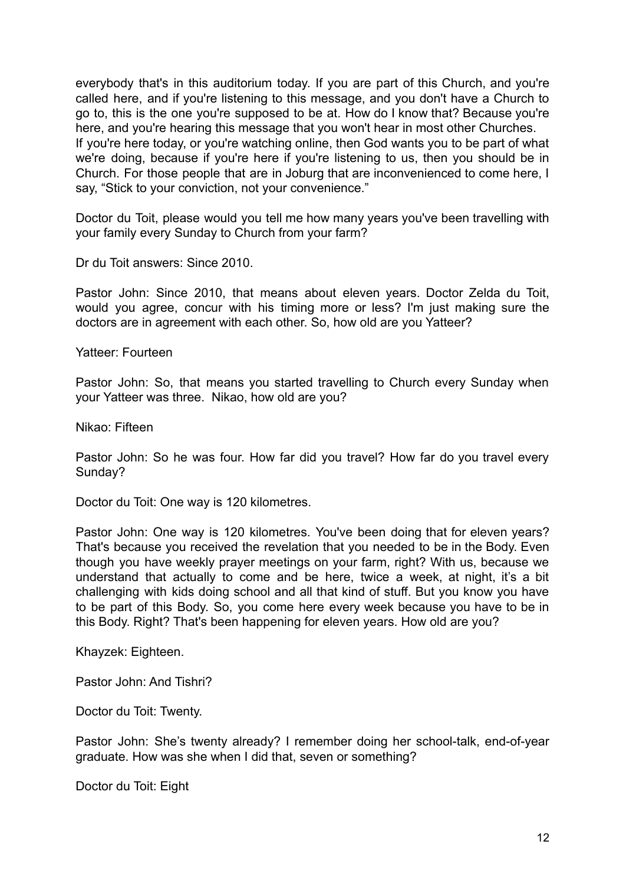everybody that's in this auditorium today. If you are part of this Church, and you're called here, and if you're listening to this message, and you don't have a Church to go to, this is the one you're supposed to be at. How do I know that? Because you're here, and you're hearing this message that you won't hear in most other Churches. If you're here today, or you're watching online, then God wants you to be part of what we're doing, because if you're here if you're listening to us, then you should be in Church. For those people that are in Joburg that are inconvenienced to come here, I say, "Stick to your conviction, not your convenience."

Doctor du Toit, please would you tell me how many years you've been travelling with your family every Sunday to Church from your farm?

Dr du Toit answers: Since 2010.

Pastor John: Since 2010, that means about eleven years. Doctor Zelda du Toit, would you agree, concur with his timing more or less? I'm just making sure the doctors are in agreement with each other. So, how old are you Yatteer?

Yatteer: Fourteen

Pastor John: So, that means you started travelling to Church every Sunday when your Yatteer was three. Nikao, how old are you?

Nikao: Fifteen

Pastor John: So he was four. How far did you travel? How far do you travel every Sunday?

Doctor du Toit: One way is 120 kilometres.

Pastor John: One way is 120 kilometres. You've been doing that for eleven years? That's because you received the revelation that you needed to be in the Body. Even though you have weekly prayer meetings on your farm, right? With us, because we understand that actually to come and be here, twice a week, at night, it's a bit challenging with kids doing school and all that kind of stuff. But you know you have to be part of this Body. So, you come here every week because you have to be in this Body. Right? That's been happening for eleven years. How old are you?

Khayzek: Eighteen.

Pastor John: And Tishri?

Doctor du Toit: Twenty.

Pastor John: She's twenty already? I remember doing her school-talk, end-of-year graduate. How was she when I did that, seven or something?

Doctor du Toit: Eight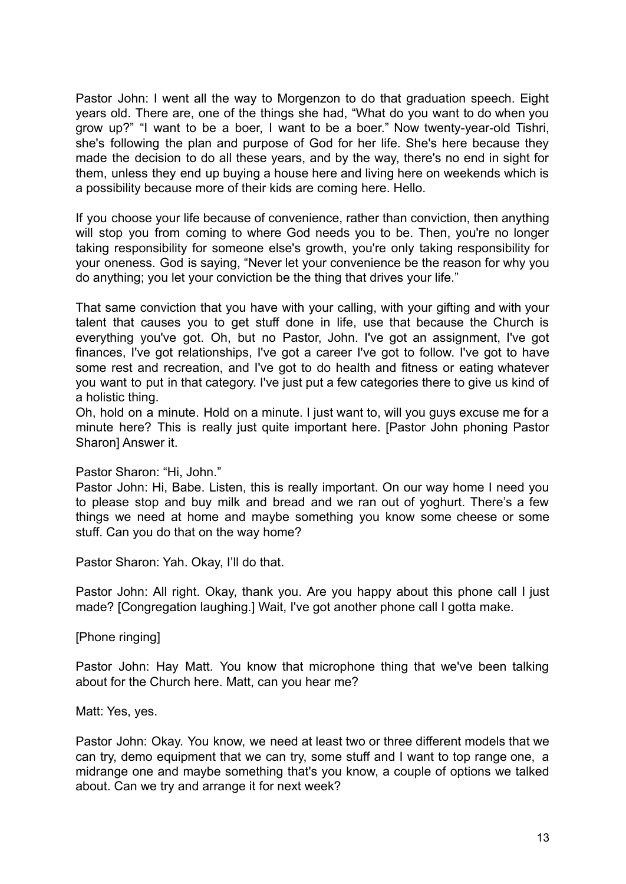Pastor John: I went all the way to Morgenzon to do that graduation speech. Eight years old. There are, one of the things she had, "What do you want to do when you grow up?" "I want to be a boer, I want to be a boer." Now twenty-year-old Tishri, she's following the plan and purpose of God for her life. She's here because they made the decision to do all these years, and by the way, there's no end in sight for them, unless they end up buying a house here and living here on weekends which is a possibility because more of their kids are coming here. Hello.

If you choose your life because of convenience, rather than conviction, then anything will stop you from coming to where God needs you to be. Then, you're no longer taking responsibility for someone else's growth, you're only taking responsibility for your oneness. God is saying, "Never let your convenience be the reason for why you do anything; you let your conviction be the thing that drives your life."

That same conviction that you have with your calling, with your gifting and with your talent that causes you to get stuff done in life, use that because the Church is everything you've got. Oh, but no Pastor, John. I've got an assignment, I've got finances, I've got relationships, I've got a career I've got to follow. I've got to have some rest and recreation, and I've got to do health and fitness or eating whatever you want to put in that category. I've just put a few categories there to give us kind of a holistic thing.

Oh, hold on a minute. Hold on a minute. I just want to, will you guys excuse me for a minute here? This is really just quite important here. [Pastor John phoning Pastor Sharon] Answer it.

## Pastor Sharon: "Hi, John."

Pastor John: Hi, Babe. Listen, this is really important. On our way home I need you to please stop and buy milk and bread and we ran out of yoghurt. There's a few things we need at home and maybe something you know some cheese or some stuff. Can you do that on the way home?

Pastor Sharon: Yah. Okay, I'll do that.

Pastor John: All right. Okay, thank you. Are you happy about this phone call I just made? [Congregation laughing.] Wait, I've got another phone call I gotta make.

[Phone ringing]

Pastor John: Hay Matt. You know that microphone thing that we've been talking about for the Church here. Matt, can you hear me?

Matt: Yes, yes.

Pastor John: Okay. You know, we need at least two or three different models that we can try, demo equipment that we can try, some stuff and I want to top range one, a midrange one and maybe something that's you know, a couple of options we talked about. Can we try and arrange it for next week?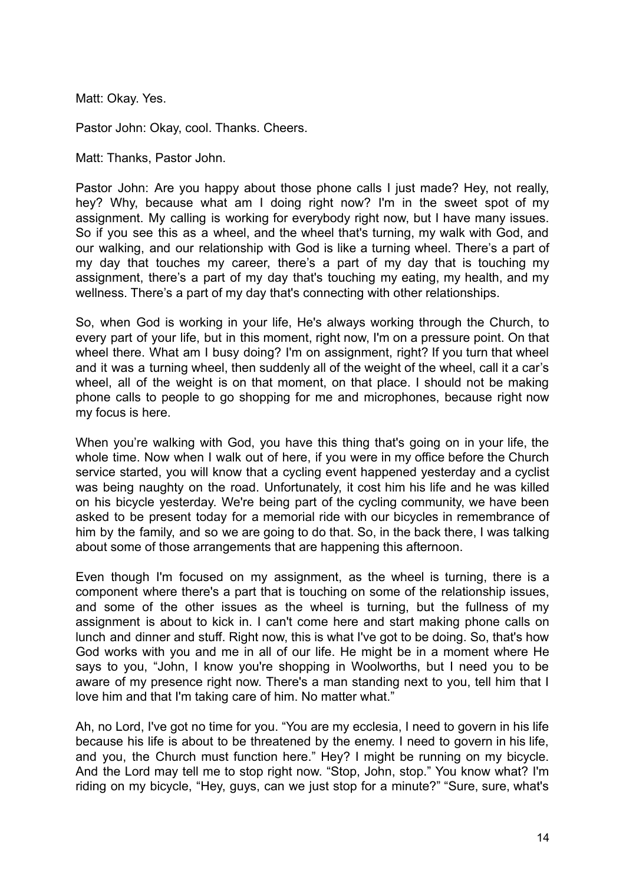Matt: Okay. Yes.

Pastor John: Okay, cool. Thanks. Cheers.

Matt: Thanks, Pastor John.

Pastor John: Are you happy about those phone calls I just made? Hey, not really, hey? Why, because what am I doing right now? I'm in the sweet spot of my assignment. My calling is working for everybody right now, but I have many issues. So if you see this as a wheel, and the wheel that's turning, my walk with God, and our walking, and our relationship with God is like a turning wheel. There's a part of my day that touches my career, there's a part of my day that is touching my assignment, there's a part of my day that's touching my eating, my health, and my wellness. There's a part of my day that's connecting with other relationships.

So, when God is working in your life, He's always working through the Church, to every part of your life, but in this moment, right now, I'm on a pressure point. On that wheel there. What am I busy doing? I'm on assignment, right? If you turn that wheel and it was a turning wheel, then suddenly all of the weight of the wheel, call it a car's wheel, all of the weight is on that moment, on that place. I should not be making phone calls to people to go shopping for me and microphones, because right now my focus is here.

When you're walking with God, you have this thing that's going on in your life, the whole time. Now when I walk out of here, if you were in my office before the Church service started, you will know that a cycling event happened yesterday and a cyclist was being naughty on the road. Unfortunately, it cost him his life and he was killed on his bicycle yesterday. We're being part of the cycling community, we have been asked to be present today for a memorial ride with our bicycles in remembrance of him by the family, and so we are going to do that. So, in the back there, I was talking about some of those arrangements that are happening this afternoon.

Even though I'm focused on my assignment, as the wheel is turning, there is a component where there's a part that is touching on some of the relationship issues, and some of the other issues as the wheel is turning, but the fullness of my assignment is about to kick in. I can't come here and start making phone calls on lunch and dinner and stuff. Right now, this is what I've got to be doing. So, that's how God works with you and me in all of our life. He might be in a moment where He says to you, "John, I know you're shopping in Woolworths, but I need you to be aware of my presence right now. There's a man standing next to you, tell him that I love him and that I'm taking care of him. No matter what."

Ah, no Lord, I've got no time for you. "You are my ecclesia, I need to govern in his life because his life is about to be threatened by the enemy. I need to govern in his life, and you, the Church must function here." Hey? I might be running on my bicycle. And the Lord may tell me to stop right now. "Stop, John, stop." You know what? I'm riding on my bicycle, "Hey, guys, can we just stop for a minute?" "Sure, sure, what's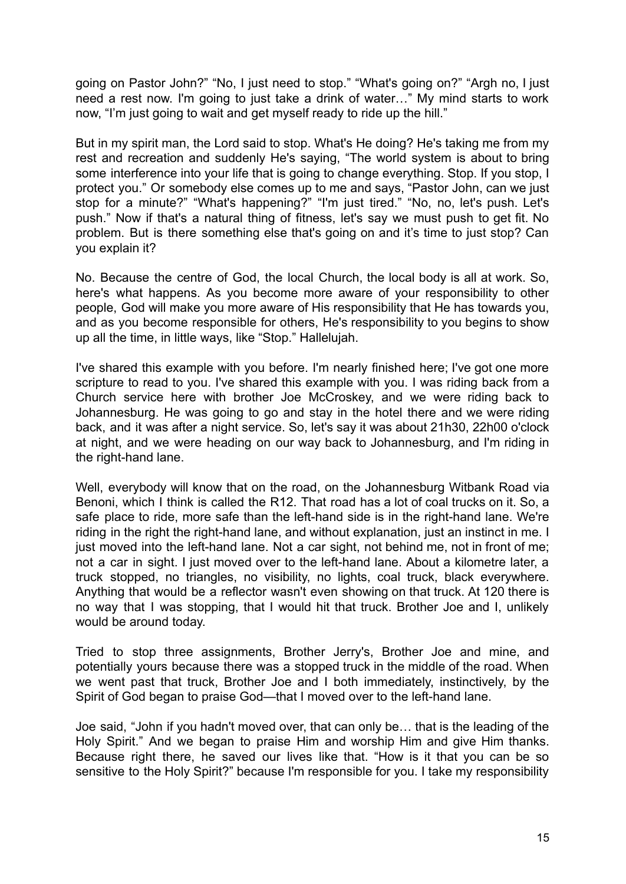going on Pastor John?" "No, I just need to stop." "What's going on?" "Argh no, I just need a rest now. I'm going to just take a drink of water…" My mind starts to work now, "I'm just going to wait and get myself ready to ride up the hill."

But in my spirit man, the Lord said to stop. What's He doing? He's taking me from my rest and recreation and suddenly He's saying, "The world system is about to bring some interference into your life that is going to change everything. Stop. If you stop, I protect you." Or somebody else comes up to me and says, "Pastor John, can we just stop for a minute?" "What's happening?" "I'm just tired." "No, no, let's push. Let's push." Now if that's a natural thing of fitness, let's say we must push to get fit. No problem. But is there something else that's going on and it's time to just stop? Can you explain it?

No. Because the centre of God, the local Church, the local body is all at work. So, here's what happens. As you become more aware of your responsibility to other people, God will make you more aware of His responsibility that He has towards you, and as you become responsible for others, He's responsibility to you begins to show up all the time, in little ways, like "Stop." Hallelujah.

I've shared this example with you before. I'm nearly finished here; I've got one more scripture to read to you. I've shared this example with you. I was riding back from a Church service here with brother Joe McCroskey, and we were riding back to Johannesburg. He was going to go and stay in the hotel there and we were riding back, and it was after a night service. So, let's say it was about 21h30, 22h00 o'clock at night, and we were heading on our way back to Johannesburg, and I'm riding in the right-hand lane.

Well, everybody will know that on the road, on the Johannesburg Witbank Road via Benoni, which I think is called the R12. That road has a lot of coal trucks on it. So, a safe place to ride, more safe than the left-hand side is in the right-hand lane. We're riding in the right the right-hand lane, and without explanation, just an instinct in me. I just moved into the left-hand lane. Not a car sight, not behind me, not in front of me; not a car in sight. I just moved over to the left-hand lane. About a kilometre later, a truck stopped, no triangles, no visibility, no lights, coal truck, black everywhere. Anything that would be a reflector wasn't even showing on that truck. At 120 there is no way that I was stopping, that I would hit that truck. Brother Joe and I, unlikely would be around today.

Tried to stop three assignments, Brother Jerry's, Brother Joe and mine, and potentially yours because there was a stopped truck in the middle of the road. When we went past that truck, Brother Joe and I both immediately, instinctively, by the Spirit of God began to praise God—that I moved over to the left-hand lane.

Joe said, "John if you hadn't moved over, that can only be… that is the leading of the Holy Spirit." And we began to praise Him and worship Him and give Him thanks. Because right there, he saved our lives like that. "How is it that you can be so sensitive to the Holy Spirit?" because I'm responsible for you. I take my responsibility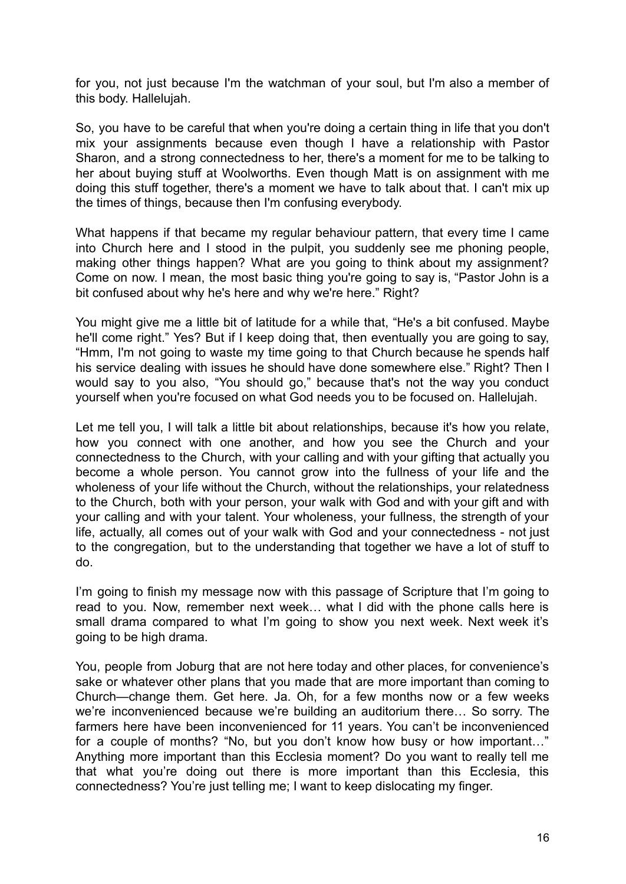for you, not just because I'm the watchman of your soul, but I'm also a member of this body. Hallelujah.

So, you have to be careful that when you're doing a certain thing in life that you don't mix your assignments because even though I have a relationship with Pastor Sharon, and a strong connectedness to her, there's a moment for me to be talking to her about buying stuff at Woolworths. Even though Matt is on assignment with me doing this stuff together, there's a moment we have to talk about that. I can't mix up the times of things, because then I'm confusing everybody.

What happens if that became my regular behaviour pattern, that every time I came into Church here and I stood in the pulpit, you suddenly see me phoning people, making other things happen? What are you going to think about my assignment? Come on now. I mean, the most basic thing you're going to say is, "Pastor John is a bit confused about why he's here and why we're here." Right?

You might give me a little bit of latitude for a while that, "He's a bit confused. Maybe he'll come right." Yes? But if I keep doing that, then eventually you are going to say, "Hmm, I'm not going to waste my time going to that Church because he spends half his service dealing with issues he should have done somewhere else." Right? Then I would say to you also, "You should go," because that's not the way you conduct yourself when you're focused on what God needs you to be focused on. Hallelujah.

Let me tell you, I will talk a little bit about relationships, because it's how you relate, how you connect with one another, and how you see the Church and your connectedness to the Church, with your calling and with your gifting that actually you become a whole person. You cannot grow into the fullness of your life and the wholeness of your life without the Church, without the relationships, your relatedness to the Church, both with your person, your walk with God and with your gift and with your calling and with your talent. Your wholeness, your fullness, the strength of your life, actually, all comes out of your walk with God and your connectedness - not just to the congregation, but to the understanding that together we have a lot of stuff to do.

I'm going to finish my message now with this passage of Scripture that I'm going to read to you. Now, remember next week… what I did with the phone calls here is small drama compared to what I'm going to show you next week. Next week it's going to be high drama.

You, people from Joburg that are not here today and other places, for convenience's sake or whatever other plans that you made that are more important than coming to Church—change them. Get here. Ja. Oh, for a few months now or a few weeks we're inconvenienced because we're building an auditorium there… So sorry. The farmers here have been inconvenienced for 11 years. You can't be inconvenienced for a couple of months? "No, but you don't know how busy or how important…" Anything more important than this Ecclesia moment? Do you want to really tell me that what you're doing out there is more important than this Ecclesia, this connectedness? You're just telling me; I want to keep dislocating my finger.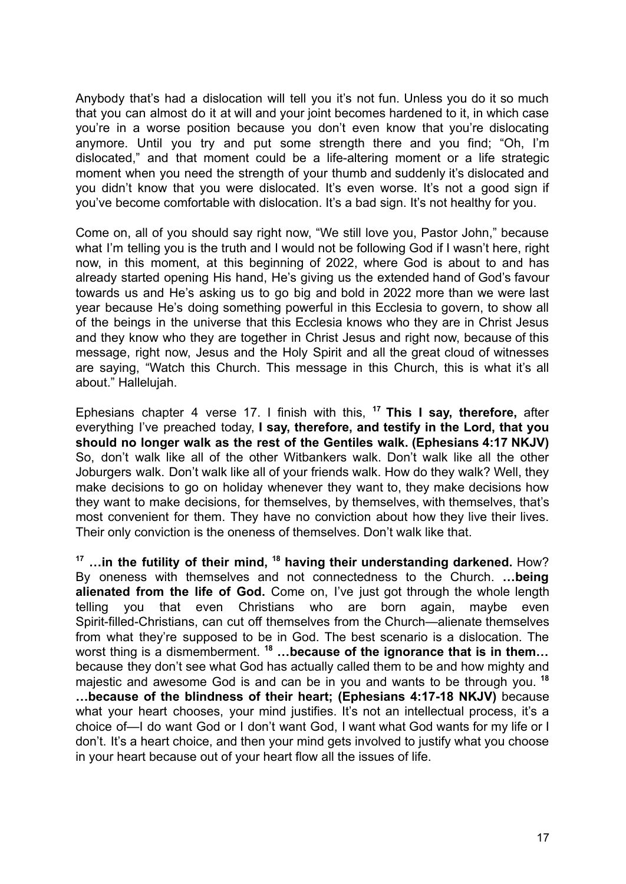Anybody that's had a dislocation will tell you it's not fun. Unless you do it so much that you can almost do it at will and your joint becomes hardened to it, in which case you're in a worse position because you don't even know that you're dislocating anymore. Until you try and put some strength there and you find; "Oh, I'm dislocated," and that moment could be a life-altering moment or a life strategic moment when you need the strength of your thumb and suddenly it's dislocated and you didn't know that you were dislocated. It's even worse. It's not a good sign if you've become comfortable with dislocation. It's a bad sign. It's not healthy for you.

Come on, all of you should say right now, "We still love you, Pastor John," because what I'm telling you is the truth and I would not be following God if I wasn't here, right now, in this moment, at this beginning of 2022, where God is about to and has already started opening His hand, He's giving us the extended hand of God's favour towards us and He's asking us to go big and bold in 2022 more than we were last year because He's doing something powerful in this Ecclesia to govern, to show all of the beings in the universe that this Ecclesia knows who they are in Christ Jesus and they know who they are together in Christ Jesus and right now, because of this message, right now, Jesus and the Holy Spirit and all the great cloud of witnesses are saying, "Watch this Church. This message in this Church, this is what it's all about." Hallelujah.

Ephesians chapter 4 verse 17. I finish with this, **<sup>17</sup> This I say, therefore,** after everything I've preached today, **I say, therefore, and testify in the Lord, that you should no longer walk as the rest of the Gentiles walk. (Ephesians 4:17 NKJV)** So, don't walk like all of the other Witbankers walk. Don't walk like all the other Joburgers walk. Don't walk like all of your friends walk. How do they walk? Well, they make decisions to go on holiday whenever they want to, they make decisions how they want to make decisions, for themselves, by themselves, with themselves, that's most convenient for them. They have no conviction about how they live their lives. Their only conviction is the oneness of themselves. Don't walk like that.

**<sup>17</sup> …in the futility of their mind, <sup>18</sup> having their understanding darkened.** How? By oneness with themselves and not connectedness to the Church. **…being alienated from the life of God.** Come on, I've just got through the whole length telling you that even Christians who are born again, maybe even Spirit-filled-Christians, can cut off themselves from the Church—alienate themselves from what they're supposed to be in God. The best scenario is a dislocation. The worst thing is a dismemberment. **<sup>18</sup> …because of the ignorance that is in them…** because they don't see what God has actually called them to be and how mighty and majestic and awesome God is and can be in you and wants to be through you. **<sup>18</sup> …because of the blindness of their heart; (Ephesians 4:17-18 NKJV)** because what your heart chooses, your mind justifies. It's not an intellectual process, it's a choice of—I do want God or I don't want God, I want what God wants for my life or I don't. It's a heart choice, and then your mind gets involved to justify what you choose in your heart because out of your heart flow all the issues of life.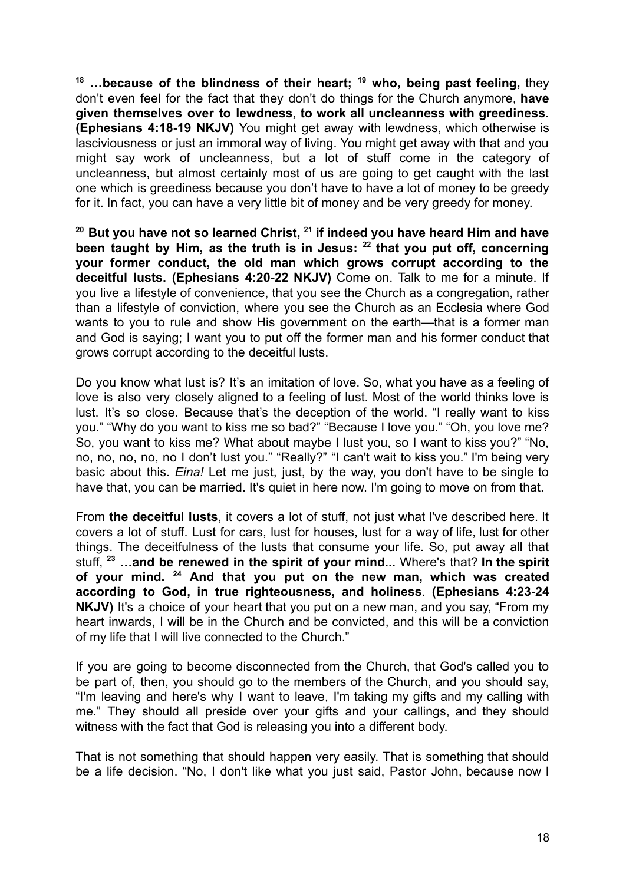**<sup>18</sup> …because of the blindness of their heart; <sup>19</sup> who, being past feeling,** they don't even feel for the fact that they don't do things for the Church anymore, **have given themselves over to lewdness, to work all uncleanness with greediness. (Ephesians 4:18-19 NKJV)** You might get away with lewdness, which otherwise is lasciviousness or just an immoral way of living. You might get away with that and you might say work of uncleanness, but a lot of stuff come in the category of uncleanness, but almost certainly most of us are going to get caught with the last one which is greediness because you don't have to have a lot of money to be greedy for it. In fact, you can have a very little bit of money and be very greedy for money.

**<sup>20</sup> But you have not so learned Christ, <sup>21</sup> if indeed you have heard Him and have been taught by Him, as the truth is in Jesus: <sup>22</sup> that you put off, concerning your former conduct, the old man which grows corrupt according to the deceitful lusts. (Ephesians 4:20-22 NKJV)** Come on. Talk to me for a minute. If you live a lifestyle of convenience, that you see the Church as a congregation, rather than a lifestyle of conviction, where you see the Church as an Ecclesia where God wants to you to rule and show His government on the earth—that is a former man and God is saying; I want you to put off the former man and his former conduct that grows corrupt according to the deceitful lusts.

Do you know what lust is? It's an imitation of love. So, what you have as a feeling of love is also very closely aligned to a feeling of lust. Most of the world thinks love is lust. It's so close. Because that's the deception of the world. "I really want to kiss you." "Why do you want to kiss me so bad?" "Because I love you." "Oh, you love me? So, you want to kiss me? What about maybe I lust you, so I want to kiss you?" "No, no, no, no, no, no I don't lust you." "Really?" "I can't wait to kiss you." I'm being very basic about this. *Eina!* Let me just, just, by the way, you don't have to be single to have that, you can be married. It's quiet in here now. I'm going to move on from that.

From **the deceitful lusts**, it covers a lot of stuff, not just what I've described here. It covers a lot of stuff. Lust for cars, lust for houses, lust for a way of life, lust for other things. The deceitfulness of the lusts that consume your life. So, put away all that stuff, **<sup>23</sup> …and be renewed in the spirit of your mind...** Where's that? **In the spirit of your mind. <sup>24</sup> And that you put on the new man, which was created according to God, in true righteousness, and holiness**. **(Ephesians 4:23-24 NKJV)** It's a choice of your heart that you put on a new man, and you say, "From my heart inwards, I will be in the Church and be convicted, and this will be a conviction of my life that I will live connected to the Church."

If you are going to become disconnected from the Church, that God's called you to be part of, then, you should go to the members of the Church, and you should say, "I'm leaving and here's why I want to leave, I'm taking my gifts and my calling with me." They should all preside over your gifts and your callings, and they should witness with the fact that God is releasing you into a different body.

That is not something that should happen very easily. That is something that should be a life decision. "No, I don't like what you just said, Pastor John, because now I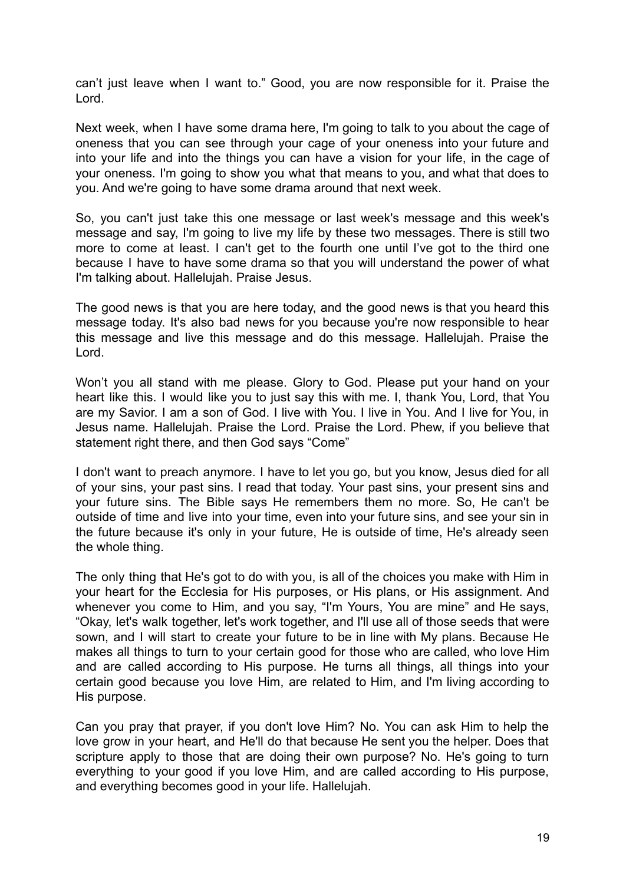can't just leave when I want to." Good, you are now responsible for it. Praise the Lord.

Next week, when I have some drama here, I'm going to talk to you about the cage of oneness that you can see through your cage of your oneness into your future and into your life and into the things you can have a vision for your life, in the cage of your oneness. I'm going to show you what that means to you, and what that does to you. And we're going to have some drama around that next week.

So, you can't just take this one message or last week's message and this week's message and say, I'm going to live my life by these two messages. There is still two more to come at least. I can't get to the fourth one until I've got to the third one because I have to have some drama so that you will understand the power of what I'm talking about. Hallelujah. Praise Jesus.

The good news is that you are here today, and the good news is that you heard this message today. It's also bad news for you because you're now responsible to hear this message and live this message and do this message. Hallelujah. Praise the Lord.

Won't you all stand with me please. Glory to God. Please put your hand on your heart like this. I would like you to just say this with me. I, thank You, Lord, that You are my Savior. I am a son of God. I live with You. I live in You. And I live for You, in Jesus name. Hallelujah. Praise the Lord. Praise the Lord. Phew, if you believe that statement right there, and then God says "Come"

I don't want to preach anymore. I have to let you go, but you know, Jesus died for all of your sins, your past sins. I read that today. Your past sins, your present sins and your future sins. The Bible says He remembers them no more. So, He can't be outside of time and live into your time, even into your future sins, and see your sin in the future because it's only in your future, He is outside of time, He's already seen the whole thing.

The only thing that He's got to do with you, is all of the choices you make with Him in your heart for the Ecclesia for His purposes, or His plans, or His assignment. And whenever you come to Him, and you say, "I'm Yours, You are mine" and He says, "Okay, let's walk together, let's work together, and I'll use all of those seeds that were sown, and I will start to create your future to be in line with My plans. Because He makes all things to turn to your certain good for those who are called, who love Him and are called according to His purpose. He turns all things, all things into your certain good because you love Him, are related to Him, and I'm living according to His purpose.

Can you pray that prayer, if you don't love Him? No. You can ask Him to help the love grow in your heart, and He'll do that because He sent you the helper. Does that scripture apply to those that are doing their own purpose? No. He's going to turn everything to your good if you love Him, and are called according to His purpose, and everything becomes good in your life. Hallelujah.